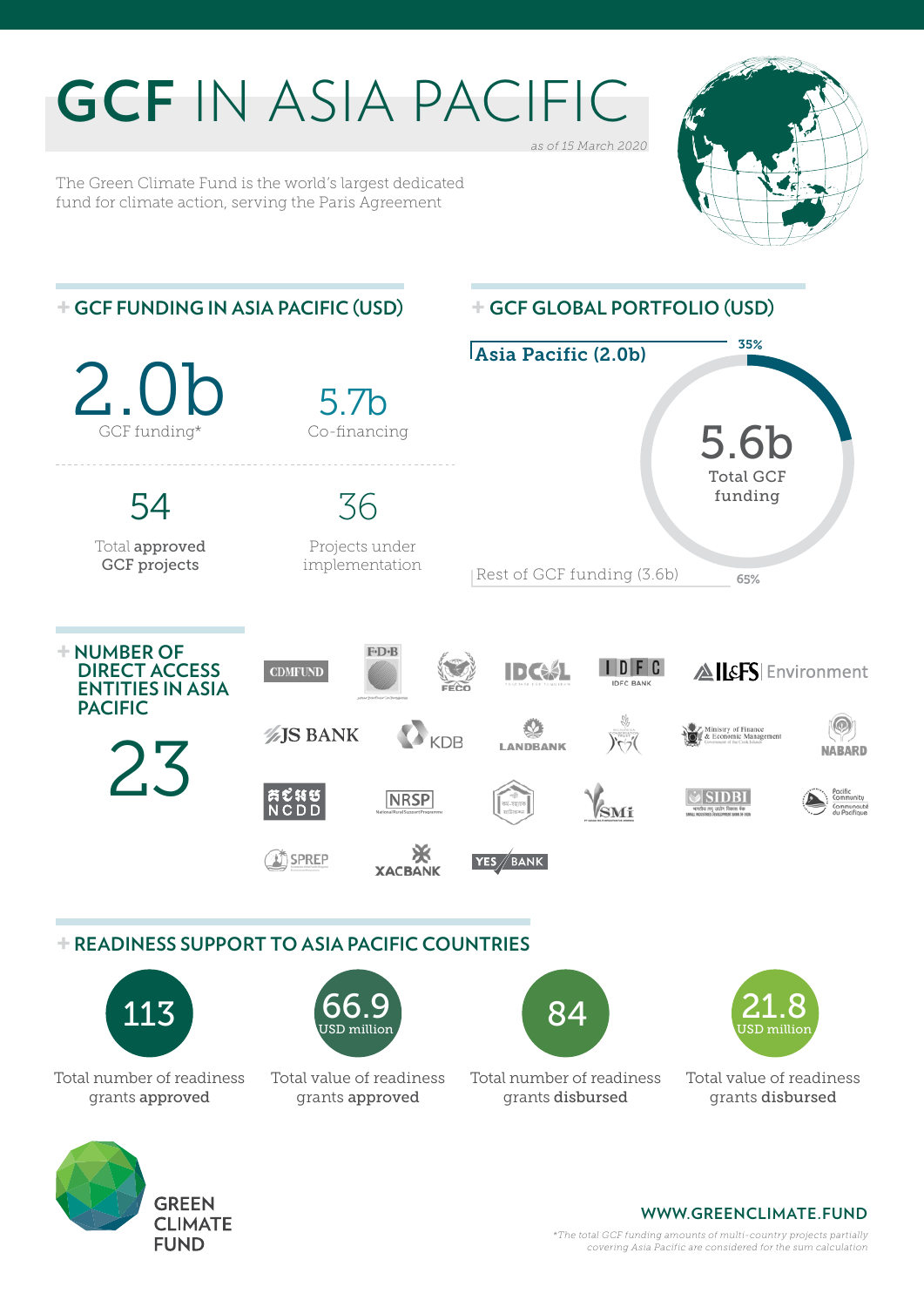## **GCF** IN ASIA PACIFIC *as of 15 March 2020*

The Green Climate Fund is the world's largest dedicated fund for climate action, serving the Paris Agreement

> **CLIMATE FUND**





*\*The total GCF funding amounts of multi-country projects partially covering Asia Pacific are considered for the sum calculation*

**WWW.GREENCLIMATE.FUND**